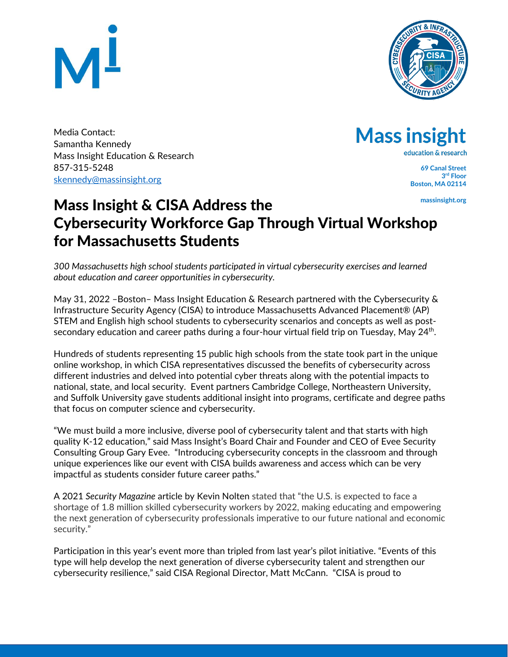



Media Contact: Samantha Kennedy Mass Insight Education & Research 857-315-5248 [skennedy@massinsight.org](mailto:skennedy@massinsight.org)

**Mass insight** 

education & research

**69 Canal Street 3 rd Floor Boston, MA 02114**

**massinsight.org**

## Mass Insight & CISA Address the Cybersecurity Workforce Gap Through Virtual Workshop for Massachusetts Students

*300 Massachusetts high school students participated in virtual cybersecurity exercises and learned about education and career opportunities in cybersecurity.* 

May 31, 2022 –Boston– Mass Insight Education & Research partnered with the Cybersecurity & Infrastructure Security Agency (CISA) to introduce Massachusetts Advanced Placement® (AP) STEM and English high school students to cybersecurity scenarios and concepts as well as postsecondary education and career paths during a four-hour virtual field trip on Tuesday, May 24<sup>th</sup>.

Hundreds of students representing 15 public high schools from the state took part in the unique online workshop, in which CISA representatives discussed the benefits of cybersecurity across different industries and delved into potential cyber threats along with the potential impacts to national, state, and local security. Event partners Cambridge College, Northeastern University, and Suffolk University gave students additional insight into programs, certificate and degree paths that focus on computer science and cybersecurity.

"We must build a more inclusive, diverse pool of cybersecurity talent and that starts with high quality K-12 education," said Mass Insight's Board Chair and Founder and CEO of Evee Security Consulting Group Gary Evee. "Introducing cybersecurity concepts in the classroom and through unique experiences like our event with CISA builds awareness and access which can be very impactful as students consider future career paths."

A 2021 *Security Magazine* article by Kevin Nolten stated that "the U.S. is expected to face a shortage of 1.8 million skilled cybersecurity workers by 2022, making educating and empowering the next generation of cybersecurity professionals imperative to our future national and economic security."

Participation in this year's event more than tripled from last year's pilot initiative. "Events of this type will help develop the next generation of diverse cybersecurity talent and strengthen our cybersecurity resilience," said CISA Regional Director, Matt McCann. "CISA is proud to